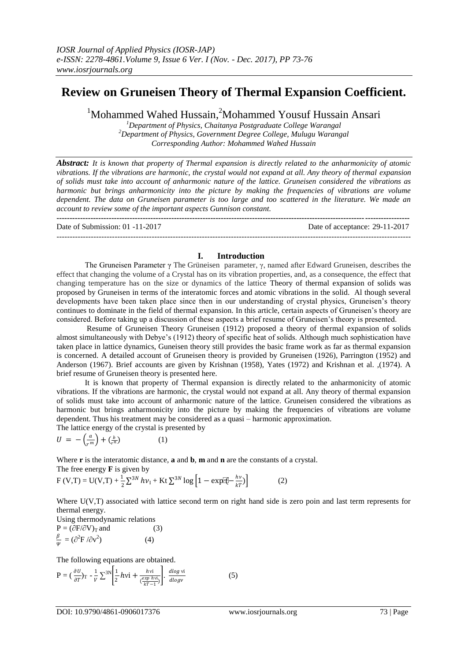--------------------------------------------------------------------------------------------------------------------------------------

## **Review on Gruneisen Theory of Thermal Expansion Coefficient.**

<sup>1</sup>Mohammed Wahed Hussain,<sup>2</sup>Mohammed Yousuf Hussain Ansari

*<sup>1</sup>Department of Physics, Chaitanya Postgraduate College Warangal <sup>2</sup>Department of Physics, Government Degree College, Mulugu Warangal Corresponding Author: Mohammed Wahed Hussain*

*Abstract: It is known that property of Thermal expansion is directly related to the anharmonicity of atomic vibrations. If the vibrations are harmonic, the crystal would not expand at all. Any theory of thermal expansion of solids must take into account of anharmonic nature of the lattice. Gruneisen considered the vibrations as harmonic but brings anharmonicity into the picture by making the frequencies of vibrations are volume dependent. The data on Gruneisen parameter is too large and too scattered in the literature. We made an account to review some of the important aspects Gunnison constant.*  **---------------------------------------------------------------------------------------------------------------------------------------**

Date of Submission: 01 -11-2017 Date of acceptance: 29-11-2017

## **I. Introduction**

The Gruneisen Parameter γ The Grüneisen parameter, γ, named after Edward Gruneisen, describes the effect that changing the volume of a Crystal has on its vibration properties, and, as a consequence, the effect that changing temperature has on the size or dynamics of the lattice Theory of thermal expansion of solids was proposed by Gruneisen in terms of the interatomic forces and atomic vibrations in the solid. Al though several developments have been taken place since then in our understanding of crystal physics, Gruneisen's theory continues to dominate in the field of thermal expansion. In this article, certain aspects of Gruneisen's theory are considered. Before taking up a discussion of these aspects a brief resume of Gruneisen's theory is presented.

Resume of Gruneisen Theory Gruneisen (1912) proposed a theory of thermal expansion of solids almost simultaneously with Debye's (1912) theory of specific heat of solids. Although much sophistication have taken place in lattice dynamics, Guneisen theory still provides the basic frame work as far as thermal expansion is concerned. A detailed account of Gruneisen theory is provided by Gruneisen (1926), Parrington (1952) and Anderson (1967). Brief accounts are given by Krishnan (1958), Yates (1972) and Krishnan et al. ,(1974). A brief resume of Gruneisen theory is presented here.

It is known that property of Thermal expansion is directly related to the anharmonicity of atomic vibrations. If the vibrations are harmonic, the crystal would not expand at all. Any theory of thermal expansion of solids must take into account of anharmonic nature of the lattice. Gruneisen considered the vibrations as harmonic but brings anharmonicity into the picture by making the frequencies of vibrations are volume dependent. Thus his treatment may be considered as a quasi – harmonic approximation.

The lattice energy of the crystal is presented by

$$
U = -\left(\frac{a}{r^m}\right) + \left(\frac{b}{r^n}\right) \tag{1}
$$

Where **r** is the interatomic distance, **a** and **b**, **m** and **n** are the constants of a crystal.

The free energy **F** is given by

$$
F(V,T) = U(V,T) + \frac{1}{2} \sum_{i=1}^{3N} h v_i + Kt \sum_{i=1}^{3N} \log \left[ 1 - \exp[\hat{v} - \frac{hv}{kT}] \right]
$$
(2)

Where U(V,T) associated with lattice second term on right hand side is zero poin and last term represents for thermal energy.

Using thermodynamic relations

$$
P = (\partial F/\partial V)_T \text{ and}
$$
\n
$$
\frac{\beta}{\psi} = (\partial^2 F/\partial v^2)
$$
\n(4)

The following equations are obtained.

$$
P = \left(\frac{\partial U}{\partial T}\right)_T - \frac{1}{V} \sum^{3N} \left[ \frac{1}{2} h v i + \frac{h v i}{\left(\frac{exp h v i}{kT - 1}\right)} \right]. \frac{d \log v i}{d \log v} \tag{5}
$$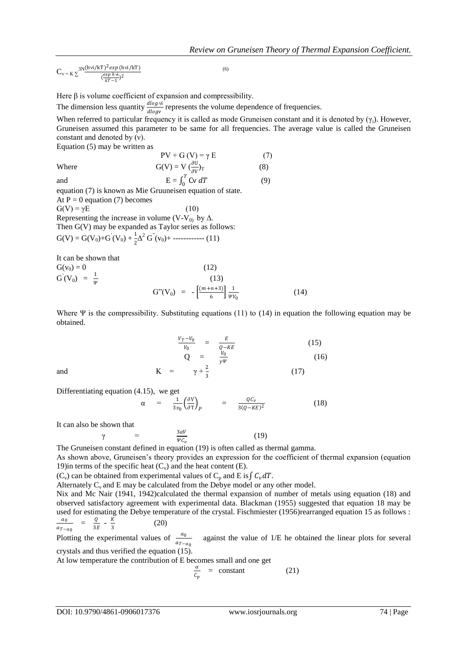$C_{v=K}\sum_{x=1}^{3N} \frac{(hvi/kT)^2 exp(hvi/kT)}{exp(hvi,2)}$  $\left(\frac{exp hvi}{kT-1}\right)^2$ (6)

Here  $\beta$  is volume coefficient of expansion and compressibility.

The dimension less quantity  $\frac{dlog v_i}{dlog v}$  represents the volume dependence of frequencies.

When referred to particular frequency it is called as mode Gruneisen constant and it is denoted by  $(\gamma_i)$ . However, Gruneisen assumed this parameter to be same for all frequencies. The average value is called the Gruneisen constant and denoted by (ν).

Equation (5) may be written as

$$
PV + G (V) = \gamma E
$$
 (7)  
Where 
$$
G(V) = V \left(\frac{\partial U}{\partial V}\right)_T
$$
 (8)  
and 
$$
E = \int_0^T Cv \, dT
$$
 (9)  
equation (7) is known as Mie Gruuneisen equation of state.

At  $P = 0$  equation (7) becomes

$$
G(V) = \gamma E
$$
 (10)  
Representing the increase in volume (V-V<sub>0</sub>) by  $\Delta$ .  
Then G(V) may be expanded as Taylor series as follows:  

$$
G(V) = G(V_0) + G'(V_0) + \frac{1}{2}\Delta^2 G''(v_0) + \dots
$$
(11)

It can be shown that

$$
G(v_0) = 0
$$
\n
$$
G'(V_0) = \frac{1}{\psi}
$$
\n(12)\n(13)\n(14)\n(15)\n(16)\n(17)\n(18)\n(19)\n(10)\n(11)\n(14)

Where Ψ is the compressibility. Substituting equations (11) to (14) in equation the following equation may be obtained.

$$
\frac{V_T - V_0}{V_0} = \frac{E}{Q - KE}
$$
\n
$$
Q = \frac{V_0}{\gamma \Psi}
$$
\n(15)

(17)

and K =  $\gamma + \frac{2}{3}$ 

Differentiating equation (4.15), we get

$$
\alpha = \frac{1}{3v_0} \left( \frac{\partial V}{\partial T} \right)_P = \frac{Q C_v}{3(Q - KE)^2}
$$
(18)

It can also be shown that

$$
\gamma = \frac{3\alpha V}{\psi c_v} \tag{19}
$$

The Gruneisen constant defined in equation (19) is often called as thermal gamma.

As shown above, Gruneisen's theory provides an expression for the coefficient of thermal expansion (equation 19) in terms of the specific heat  $(C_v)$  and the heat content  $(E)$ .

 $(C_v)$  can be obtained from experimental values of  $C_p$  and E is  $\int C_v dT$ .

Alternately  $C_v$  and  $E$  may be calculated from the Debye model or any other model.

Nix and Mc Nair (1941, 1942)calculated the thermal expansion of number of metals using equation (18) and observed satisfactory agreement with experimental data. Blackman (1955) suggested that equation 18 may be used for estimating the Debye temperature of the crystal. Fischmiester (1956)rearranged equation 15 as follows :  $a_0$  $\frac{a_0}{a_{T-a_0}} = \frac{Q}{3l}$  $\frac{Q}{3E}$  -  $\frac{K}{3}$ 3 (20)

Plotting the experimental values of  $\frac{a_0}{a_{T-a_0}}$  against the value of 1/E he obtained the linear plots for several crystals and thus verified the equation (15).

At low temperature the contribution of E becomes small and one get

$$
\frac{\alpha}{c_p} = \text{constant} \tag{21}
$$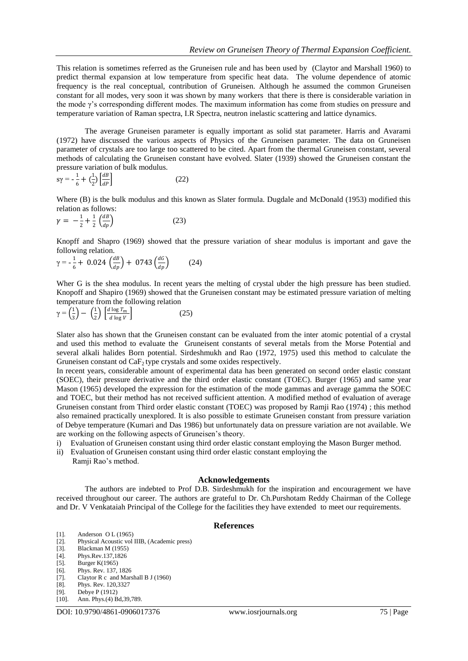This relation is sometimes referred as the Gruneisen rule and has been used by (Claytor and Marshall 1960) to predict thermal expansion at low temperature from specific heat data. The volume dependence of atomic frequency is the real conceptual, contribution of Gruneisen. Although he assumed the common Gruneisen constant for all modes, very soon it was shown by many workers that there is there is considerable variation in the mode  $\gamma$ 's corresponding different modes. The maximum information has come from studies on pressure and temperature variation of Raman spectra, I.R Spectra, neutron inelastic scattering and lattice dynamics.

The average Gruneisen parameter is equally important as solid stat parameter. Harris and Avarami (1972) have discussed the various aspects of Physics of the Gruneisen parameter. The data on Gruneisen parameter of crystals are too large too scattered to be cited. Apart from the thermal Gruneisen constant, several methods of calculating the Gruneisen constant have evolved. Slater (1939) showed the Gruneisen constant the pressure variation of bulk modulus.

$$
s\gamma = -\frac{1}{6} + \left(\frac{1}{2}\right) \left[\frac{dB}{dP}\right] \tag{22}
$$

Where (B) is the bulk modulus and this known as Slater formula. Dugdale and McDonald (1953) modified this relation as follows:

$$
\gamma = -\frac{1}{2} + \frac{1}{2} \left( \frac{dB}{dp} \right) \tag{23}
$$

Knopff and Shapro (1969) showed that the pressure variation of shear modulus is important and gave the following relation.

$$
\gamma = -\frac{1}{6} + 0.024 \left(\frac{dB}{dp}\right) + 0743 \left(\frac{dG}{dp}\right) \tag{24}
$$

Wher G is the shea modulus. In recent years the melting of crystal ubder the high pressure has been studied. Knopoff and Shapiro (1969) showed that the Gruneisen constant may be estimated pressure variation of melting temperature from the following relation

$$
\gamma = \left(\frac{1}{3}\right) - \left(\frac{1}{2}\right) \left[\frac{d \log T_m}{d \log V}\right] \tag{25}
$$

Slater also has shown that the Gruneisen constant can be evaluated from the inter atomic potential of a crystal and used this method to evaluate the Gruneisent constants of several metals from the Morse Potential and several alkali halides Born potential. Sirdeshmukh and Rao (1972, 1975) used this method to calculate the Gruneisen constant od  $CaF<sub>2</sub>$  type crystals and some oxides respectively.

In recent years, considerable amount of experimental data has been generated on second order elastic constant (SOEC), their pressure derivative and the third order elastic constant (TOEC). Burger (1965) and same year Mason (1965) developed the expression for the estimation of the mode gammas and average gamma the SOEC and TOEC, but their method has not received sufficient attention. A modified method of evaluation of average Gruneisen constant from Third order elastic constant (TOEC) was proposed by Ramji Rao (1974) ; this method also remained practically unexplored. It is also possible to estimate Gruneisen constant from pressure variation of Debye temperature (Kumari and Das 1986) but unfortunately data on pressure variation are not available. We are working on the following aspects of Gruneisen's theory.

- i) Evaluation of Gruneisen constant using third order elastic constant employing the Mason Burger method.
- ii) Evaluation of Gruneisen constant using third order elastic constant employing the Ramji Rao's method.

## **Acknowledgements**

The authors are indebted to Prof D.B. Sirdeshmukh for the inspiration and encouragement we have received throughout our career. The authors are grateful to Dr. Ch.Purshotam Reddy Chairman of the College and Dr. V Venkataiah Principal of the College for the facilities they have extended to meet our requirements.

## **References**

- [1]. Anderson O L (1965)
- [2]. Physical Acoustic vol IIIB, (Academic press)
- [3]. Blackman M (1955)
- [4]. Phys.Rev.137,1826
- [5]. Burger K(1965)
- [6]. Phys. Rev. 137, 1826
- [7]. Claytor R c and Marshall B J (1960)<br>[8]. Phys. Rev. 120,3327 Phys. Rev. 120,3327
- [9]. Debye P (1912)
- [10]. Ann. Phys.(4) Bd,39,789.